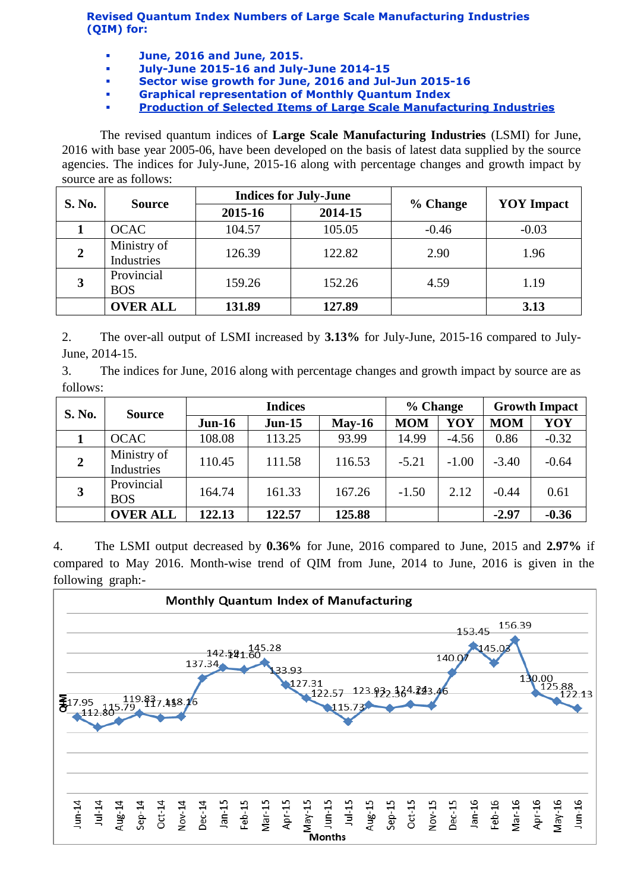**Revised Quantum Index Numbers of Large Scale Manufacturing Industries (QIM) for:**

- **June, 2016 and June, 2015.**
- **July-June 2015-16 and July-June 2014-15**
- **Sector wise growth for June, 2016 and Jul-Jun 2015-16**
- **Graphical representation of Monthly Quantum Index**
- **[Production of Selected Items of Large Scale Manufacturing Industries](http://www.statpak.gov.pk/depts/fbs/statistics/qim/qim_details.pdf)**

The revised quantum indices of **Large Scale Manufacturing Industries** (LSMI) for June, 2016 with base year 2005-06, have been developed on the basis of latest data supplied by the source agencies. The indices for July-June, 2015-16 along with percentage changes and growth impact by source are as follows:

| <b>S. No.</b>  | <b>Source</b>             |         | <b>Indices for July-June</b> |          | <b>YOY</b> Impact |  |
|----------------|---------------------------|---------|------------------------------|----------|-------------------|--|
|                |                           | 2015-16 | 2014-15                      | % Change |                   |  |
|                | <b>OCAC</b>               | 104.57  | 105.05                       | $-0.46$  | $-0.03$           |  |
| $\overline{2}$ | Ministry of<br>Industries | 126.39  | 122.82                       | 2.90     | 1.96              |  |
| 3              | Provincial<br><b>BOS</b>  | 159.26  | 152.26                       | 4.59     | 1.19              |  |
|                | <b>OVER ALL</b>           | 131.89  | 127.89                       |          | 3.13              |  |

2. The over-all output of LSMI increased by **3.13%** for July-June, 2015-16 compared to July-June, 2014-15.

3. The indices for June, 2016 along with percentage changes and growth impact by source are as follows:

| <b>S. No.</b>  | <b>Source</b>             | <b>Indices</b> |          |          | % Change   |         | <b>Growth Impact</b> |         |
|----------------|---------------------------|----------------|----------|----------|------------|---------|----------------------|---------|
|                |                           | $Jun-16$       | $Jun-15$ | $May-16$ | <b>MOM</b> | YOY     | <b>MOM</b>           | YOY     |
|                | <b>OCAC</b>               | 108.08         | 113.25   | 93.99    | 14.99      | $-4.56$ | 0.86                 | $-0.32$ |
| $\overline{2}$ | Ministry of<br>Industries | 110.45         | 111.58   | 116.53   | $-5.21$    | $-1.00$ | $-3.40$              | $-0.64$ |
| 3              | Provincial<br><b>BOS</b>  | 164.74         | 161.33   | 167.26   | $-1.50$    | 2.12    | $-0.44$              | 0.61    |
|                | <b>OVER ALL</b>           | 122.13         | 122.57   | 125.88   |            |         | $-2.97$              | $-0.36$ |

4. The LSMI output decreased by **0.36%** for June, 2016 compared to June, 2015 and **2.97%** if compared to May 2016. Month-wise trend of QIM from June, 2014 to June, 2016 is given in the following graph:-